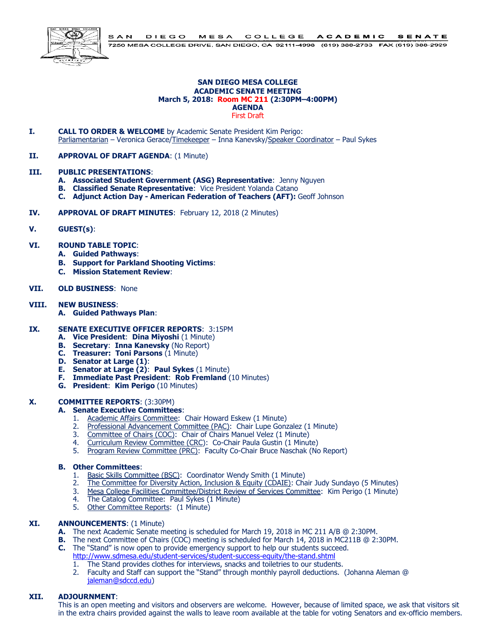

#### **SAN DIEGO MESA COLLEGE ACADEMIC SENATE MEETING March 5, 2018: Room MC 211 (2:30PM–4:00PM) AGENDA** First Draft

- **I. CALL TO ORDER & WELCOME** by Academic Senate President Kim Perigo: Parliamentarian – Veronica Gerace/Timekeeper – Inna Kanevsky/Speaker Coordinator – Paul Sykes
- **II. APPROVAL OF DRAFT AGENDA**: (1 Minute)

#### **III. PUBLIC PRESENTATIONS**:

- **A. Associated Student Government (ASG) Representative**: Jenny Nguyen
- **B. Classified Senate Representative**: Vice President Yolanda Catano
- **C. Adjunct Action Day - American Federation of Teachers (AFT):** Geoff Johnson
- **IV. APPROVAL OF DRAFT MINUTES**: February 12, 2018 (2 Minutes)
- **V. GUEST(s)**:
- **VI. ROUND TABLE TOPIC**:
	- **A. Guided Pathways**:
	- **B. Support for Parkland Shooting Victims**:
	- **C. Mission Statement Review**:

#### **VII. OLD BUSINESS**: None

#### **VIII. NEW BUSINESS**:

**A. Guided Pathways Plan**:

#### **IX. SENATE EXECUTIVE OFFICER REPORTS**: 3:15PM

- **A. Vice President**: **Dina Miyoshi** (1 Minute)
- **B. Secretary**: **Inna Kanevsky** (No Report)
- **C. Treasurer: Toni Parsons** (1 Minute)
- **D. Senator at Large (1)**:
- **E. Senator at Large (2)**: **Paul Sykes** (1 Minute)
- **F. Immediate Past President**: **Rob Fremland** (10 Minutes)
- **G. President**: **Kim Perigo** (10 Minutes)

### **X. COMMITTEE REPORTS**: (3:30PM)

- **A. Senate Executive Committees**:
	- 1. Academic Affairs Committee: Chair Howard Eskew (1 Minute)
	- 2. Professional Advancement Committee (PAC): Chair Lupe Gonzalez (1 Minute)
	- 3. Committee of Chairs (COC): Chair of Chairs Manuel Velez (1 Minute)<br>4. Curriculum Review Committee (CRC): Co-Chair Paula Gustin (1 Minut
	- 4. Curriculum Review Committee (CRC): Co-Chair Paula Gustin (1 Minute)
	- 5. Program Review Committee (PRC): Faculty Co-Chair Bruce Naschak (No Report)

### **B. Other Committees**:

- 1. Basic Skills Committee (BSC): Coordinator Wendy Smith (1 Minute)
- 2. The Committee for Diversity Action, Inclusion & Equity (CDAIE): Chair Judy Sundayo (5 Minutes)<br>3. Mesa College Facilities Committee/District Review of Services Committee: Kim Perigo (1 Minute)
- 3. Mesa College Facilities Committee/District Review of Services Committee: Kim Perigo (1 Minute)
- 4. The Catalog Committee: Paul Sykes (1 Minute)
- 5. Other Committee Reports: (1 Minute)

### **XI. ANNOUNCEMENTS**: (1 Minute)

- **A.** The next Academic Senate meeting is scheduled for March 19, 2018 in MC 211 A/B @ 2:30PM.
- **B.** The next Committee of Chairs (COC) meeting is scheduled for March 14, 2018 in MC211B @ 2:30PM.
- **C.** The "Stand" is now open to provide emergency support to help our students succeed. <http://www.sdmesa.edu/student-services/student-success-equity/the-stand.shtml>
	- 1. The Stand provides clothes for interviews, snacks and toiletries to our students.
	- 2. Faculty and Staff can support the "Stand" through monthly payroll deductions. (Johanna Aleman @ [jaleman@sdccd.edu\)](mailto:jaleman@sdccd.edu)

### **XII. ADJOURNMENT**:

This is an open meeting and visitors and observers are welcome. However, because of limited space, we ask that visitors sit in the extra chairs provided against the walls to leave room available at the table for voting Senators and ex-officio members.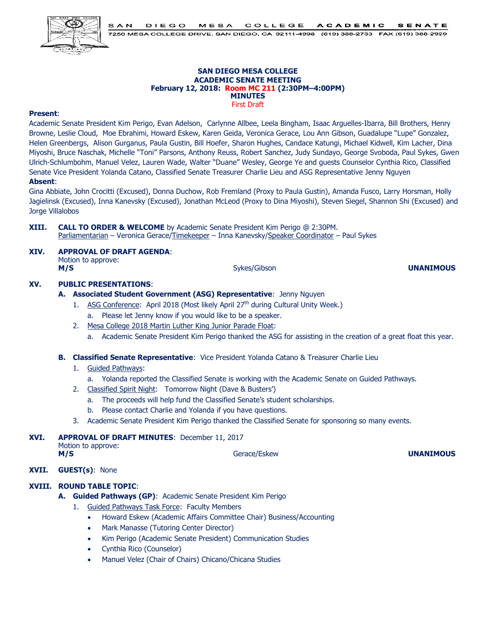

#### **SAN DIEGO MESA COLLEGE ACADEMIC SENATE MEETING February 12, 2018: Room MC 211 (2:30PM–4:00PM) MINUTES** First Draft

### **Present**:

Academic Senate President Kim Perigo, Evan Adelson, Carlynne Allbee, Leela Bingham, Isaac Arguelles-Ibarra, Bill Brothers, Henry Browne, Leslie Cloud, Moe Ebrahimi, Howard Eskew, Karen Geida, Veronica Gerace, Lou Ann Gibson, Guadalupe "Lupe" Gonzalez, Helen Greenbergs, Alison Gurganus, Paula Gustin, Bill Hoefer, Sharon Hughes, Candace Katungi, Michael Kidwell, Kim Lacher, Dina Miyoshi, Bruce Naschak, Michelle "Toni" Parsons, Anthony Reuss, Robert Sanchez, Judy Sundayo, George Svoboda, Paul Sykes, Gwen Ulrich-Schlumbohm, Manuel Velez, Lauren Wade, Walter "Duane" Wesley, George Ye and guests Counselor Cynthia Rico, Classified Senate Vice President Yolanda Catano, Classified Senate Treasurer Charlie Lieu and ASG Representative Jenny Nguyen

### **Absent**:

Gina Abbiate, John Crocitti (Excused), Donna Duchow, Rob Fremland (Proxy to Paula Gustin), Amanda Fusco, Larry Horsman, Holly Jagielinsk (Excused), Inna Kanevsky (Excused), Jonathan McLeod (Proxy to Dina Miyoshi), Steven Siegel, Shannon Shi (Excused) and Jorge Villalobos

**XIII. CALL TO ORDER & WELCOME** by Academic Senate President Kim Perigo @ 2:30PM. Parliamentarian - Veronica Gerace/Timekeeper - Inna Kanevsky/Speaker Coordinator - Paul Sykes

# **XIV. APPROVAL OF DRAFT AGENDA**:

Motion to approve:<br>M/S **M/S** Sykes/Gibson **UNANIMOUS** 

# **XV. PUBLIC PRESENTATIONS**:

# **A. Associated Student Government (ASG) Representative**: Jenny Nguyen

- 1. ASG Conference: April 2018 (Most likely April  $27<sup>th</sup>$  during Cultural Unity Week.)
	- a. Please let Jenny know if you would like to be a speaker.
- 2. Mesa College 2018 Martin Luther King Junior Parade Float:
	- a. Academic Senate President Kim Perigo thanked the ASG for assisting in the creation of a great float this year.
- **B. Classified Senate Representative**: Vice President Yolanda Catano & Treasurer Charlie Lieu
	- 1. Guided Pathways:
		- a. Yolanda reported the Classified Senate is working with the Academic Senate on Guided Pathways.
	- 2. Classified Spirit Night: Tomorrow Night (Dave & Busters')
		- a. The proceeds will help fund the Classified Senate's student scholarships.
		- b. Please contact Charlie and Yolanda if you have questions.
	- 3. Academic Senate President Kim Perigo thanked the Classified Senate for sponsoring so many events.
- **XVI. APPROVAL OF DRAFT MINUTES**: December 11, 2017 Motion to approve: **M/S Gerace/Eskew Gerace/Eskew UNANIMOUS**
- **XVII. GUEST(s)**: None

### **XVIII. ROUND TABLE TOPIC**:

**A. Guided Pathways (GP)**: Academic Senate President Kim Perigo

1. Guided Pathways Task Force: Faculty Members

- Howard Eskew (Academic Affairs Committee Chair) Business/Accounting
- Mark Manasse (Tutoring Center Director)
- Kim Perigo (Academic Senate President) Communication Studies
- Cynthia Rico (Counselor)
- Manuel Velez (Chair of Chairs) Chicano/Chicana Studies

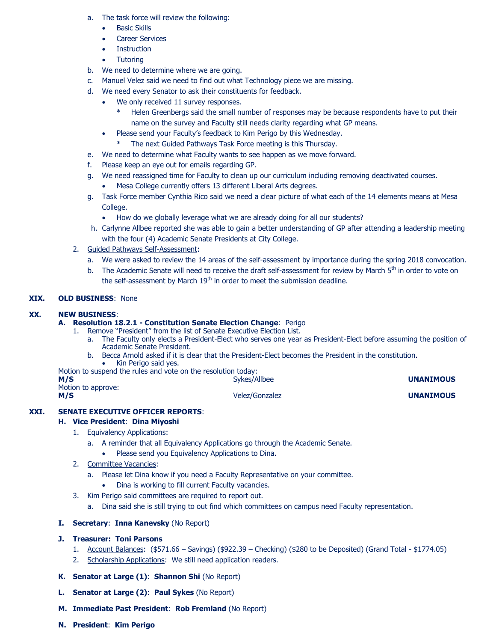- a. The task force will review the following:
	- Basic Skills
	- Career Services
	- **Instruction**
	- **Tutoring**
- b. We need to determine where we are going.
- c. Manuel Velez said we need to find out what Technology piece we are missing.
- d. We need every Senator to ask their constituents for feedback.
	- We only received 11 survey responses.
		- Helen Greenbergs said the small number of responses may be because respondents have to put their name on the survey and Faculty still needs clarity regarding what GP means.
	- Please send your Faculty's feedback to Kim Perigo by this Wednesday.
		- \* The next Guided Pathways Task Force meeting is this Thursday.
- e. We need to determine what Faculty wants to see happen as we move forward.
- f. Please keep an eye out for emails regarding GP.
- g. We need reassigned time for Faculty to clean up our curriculum including removing deactivated courses. Mesa College currently offers 13 different Liberal Arts degrees.
- g. Task Force member Cynthia Rico said we need a clear picture of what each of the 14 elements means at Mesa College.
	- How do we globally leverage what we are already doing for all our students?
- h. Carlynne Allbee reported she was able to gain a better understanding of GP after attending a leadership meeting with the four (4) Academic Senate Presidents at City College.
- 2. Guided Pathways Self-Assessment:
	- a. We were asked to review the 14 areas of the self-assessment by importance during the spring 2018 convocation.
	- b. The Academic Senate will need to receive the draft self-assessment for review by March 5<sup>th</sup> in order to vote on the self-assessment by March 19<sup>th</sup> in order to meet the submission deadline.

# **XIX. OLD BUSINESS**: None

#### **XX. NEW BUSINESS**:

#### **A. Resolution 18.2.1 - Constitution Senate Election Change**: Perigo

- 1. Remove "President" from the list of Senate Executive Election List.
	- a. The Faculty only elects a President-Elect who serves one year as President-Elect before assuming the position of Academic Senate President.
	- b. Becca Arnold asked if it is clear that the President-Elect becomes the President in the constitution. • Kin Perigo said yes.

Motion to suspend the rules and vote on the resolution today: Sykes/Allbee **UNANIMOUS** 

| v<br>v |
|--------|
|        |

Motion to approve:

**M/S** Velez/Gonzalez **UNANIMOUS**

### **XXI. SENATE EXECUTIVE OFFICER REPORTS**:

### **H. Vice President**: **Dina Miyoshi**

- 1. Equivalency Applications:
	- a. A reminder that all Equivalency Applications go through the Academic Senate.
	- Please send you Equivalency Applications to Dina.
- 2. Committee Vacancies:
	- a. Please let Dina know if you need a Faculty Representative on your committee.
		- Dina is working to fill current Faculty vacancies.
- 3. Kim Perigo said committees are required to report out.
	- a. Dina said she is still trying to out find which committees on campus need Faculty representation.

### **I. Secretary**: **Inna Kanevsky** (No Report)

# **J. Treasurer: Toni Parsons**

- 1. Account Balances: (\$571.66 Savings) (\$922.39 Checking) (\$280 to be Deposited) (Grand Total \$1774.05)
- 2. Scholarship Applications: We still need application readers.
- **K. Senator at Large (1)**: **Shannon Shi** (No Report)
- **L. Senator at Large (2)**: **Paul Sykes** (No Report)
- **M. Immediate Past President**: **Rob Fremland** (No Report)
- **N. President**: **Kim Perigo**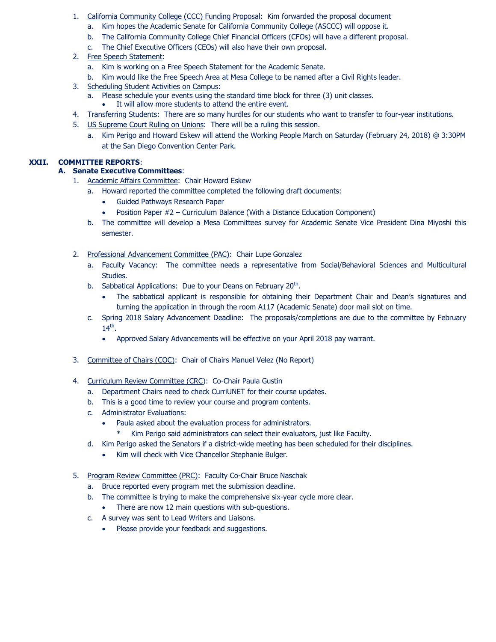- 1. California Community College (CCC) Funding Proposal: Kim forwarded the proposal document
	- a. Kim hopes the Academic Senate for California Community College (ASCCC) will oppose it.
	- b. The California Community College Chief Financial Officers (CFOs) will have a different proposal.
	- c. The Chief Executive Officers (CEOs) will also have their own proposal.
- 2. Free Speech Statement:
	- a. Kim is working on a Free Speech Statement for the Academic Senate.
	- b. Kim would like the Free Speech Area at Mesa College to be named after a Civil Rights leader.
- 3. Scheduling Student Activities on Campus:
	- a. Please schedule your events using the standard time block for three (3) unit classes.
		- It will allow more students to attend the entire event.
- 4. Transferring Students: There are so many hurdles for our students who want to transfer to four-year institutions.
- 5. US Supreme Court Ruling on Unions: There will be a ruling this session.
	- a. Kim Perigo and Howard Eskew will attend the Working People March on Saturday (February 24, 2018) @ 3:30PM at the San Diego Convention Center Park.

# **XXII. COMMITTEE REPORTS**:

# **A. Senate Executive Committees**:

- 1. Academic Affairs Committee: Chair Howard Eskew
	- a. Howard reported the committee completed the following draft documents:
		- Guided Pathways Research Paper
		- Position Paper #2 Curriculum Balance (With a Distance Education Component)
	- b. The committee will develop a Mesa Committees survey for Academic Senate Vice President Dina Miyoshi this semester.
- 2. Professional Advancement Committee (PAC): Chair Lupe Gonzalez
	- a. Faculty Vacancy: The committee needs a representative from Social/Behavioral Sciences and Multicultural Studies.
	- b. Sabbatical Applications: Due to your Deans on February 20<sup>th</sup>.
		- The sabbatical applicant is responsible for obtaining their Department Chair and Dean's signatures and turning the application in through the room A117 (Academic Senate) door mail slot on time.
	- c. Spring 2018 Salary Advancement Deadline: The proposals/completions are due to the committee by February  $14<sup>th</sup>$ .
		- Approved Salary Advancements will be effective on your April 2018 pay warrant.
- 3. Committee of Chairs (COC): Chair of Chairs Manuel Velez (No Report)
- 4. Curriculum Review Committee (CRC): Co-Chair Paula Gustin
	- a. Department Chairs need to check CurriUNET for their course updates.
	- b. This is a good time to review your course and program contents.
	- c. Administrator Evaluations:
		- Paula asked about the evaluation process for administrators.
			- \* Kim Perigo said administrators can select their evaluators, just like Faculty.
	- d. Kim Perigo asked the Senators if a district-wide meeting has been scheduled for their disciplines.
		- Kim will check with Vice Chancellor Stephanie Bulger.
- 5. Program Review Committee (PRC): Faculty Co-Chair Bruce Naschak
	- a. Bruce reported every program met the submission deadline.
	- b. The committee is trying to make the comprehensive six-year cycle more clear.
		- There are now 12 main questions with sub-questions.
	- c. A survey was sent to Lead Writers and Liaisons.
		- Please provide your feedback and suggestions.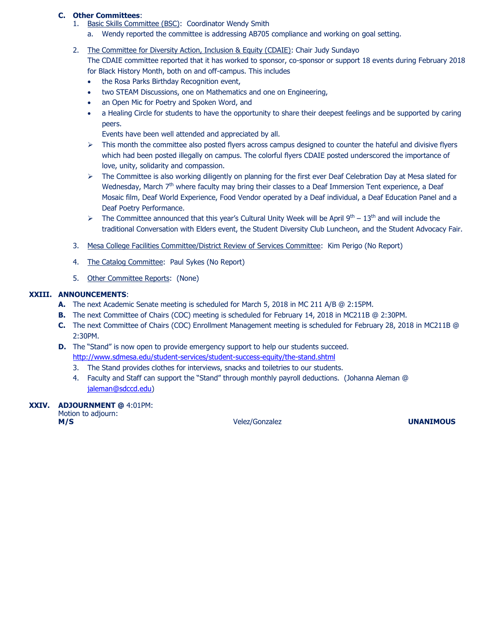### **C. Other Committees**:

- Basic Skills Committee (BSC): Coordinator Wendy Smith
	- a. Wendy reported the committee is addressing AB705 compliance and working on goal setting.
- 2. The Committee for Diversity Action, Inclusion & Equity (CDAIE): Chair Judy Sundayo

The CDAIE committee reported that it has worked to sponsor, co-sponsor or support 18 events during February 2018 for Black History Month, both on and off-campus. This includes

- the Rosa Parks Birthday Recognition event,
- two STEAM Discussions, one on Mathematics and one on Engineering,
- an Open Mic for Poetry and Spoken Word, and
- a Healing Circle for students to have the opportunity to share their deepest feelings and be supported by caring peers.
	- Events have been well attended and appreciated by all.
- $\triangleright$  This month the committee also posted flyers across campus designed to counter the hateful and divisive flyers which had been posted illegally on campus. The colorful flyers CDAIE posted underscored the importance of love, unity, solidarity and compassion.
- $\triangleright$  The Committee is also working diligently on planning for the first ever Deaf Celebration Day at Mesa slated for Wednesday, March 7<sup>th</sup> where faculty may bring their classes to a Deaf Immersion Tent experience, a Deaf Mosaic film, Deaf World Experience, Food Vendor operated by a Deaf individual, a Deaf Education Panel and a Deaf Poetry Performance.
- $\triangleright$  The Committee announced that this year's Cultural Unity Week will be April 9<sup>th</sup> 13<sup>th</sup> and will include the traditional Conversation with Elders event, the Student Diversity Club Luncheon, and the Student Advocacy Fair.
- 3. Mesa College Facilities Committee/District Review of Services Committee: Kim Perigo (No Report)
- 4. The Catalog Committee: Paul Sykes (No Report)
- 5. Other Committee Reports: (None)

# **XXIII. ANNOUNCEMENTS**:

- **A.** The next Academic Senate meeting is scheduled for March 5, 2018 in MC 211 A/B @ 2:15PM.
- **B.** The next Committee of Chairs (COC) meeting is scheduled for February 14, 2018 in MC211B @ 2:30PM.
- **C.** The next Committee of Chairs (COC) Enrollment Management meeting is scheduled for February 28, 2018 in MC211B @ 2:30PM.
- **D.** The "Stand" is now open to provide emergency support to help our students succeed. <http://www.sdmesa.edu/student-services/student-success-equity/the-stand.shtml>
	- 3. The Stand provides clothes for interviews, snacks and toiletries to our students.
	- 4. Faculty and Staff can support the "Stand" through monthly payroll deductions. (Johanna Aleman @ [jaleman@sdccd.edu\)](mailto:jaleman@sdccd.edu)

# **XXIV. ADJOURNMENT @** 4:01PM:

Motion to adjourn: **M/S** Velez/Gonzalez **UNANIMOUS**